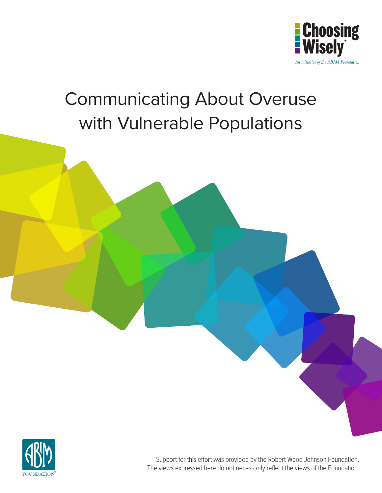

# Communicating About Overuse with Vulnerable Populations



Support for this effort was provided by the Robert Wood Johnson Foundation. The views expressed here do not necessarily reflect the views of the Foundation.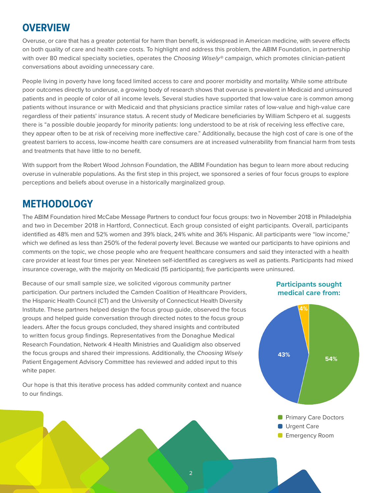### **OVERVIEW**

Overuse, or care that has a greater potential for harm than benefit, is widespread in American medicine, with severe effects on both quality of care and health care costs. To highlight and address this problem, the ABIM Foundation, in partnership with over 80 medical specialty societies, operates the *Choosing Wisely®* campaign, which promotes clinician-patient conversations about avoiding unnecessary care.

People living in poverty have long faced limited access to care and poorer morbidity and mortality. While some attribute poor outcomes directly to underuse, a growing body of research shows that overuse is prevalent in Medicaid and uninsured patients and in people of color of all income levels. Several studies have supported that low-value care is common among patients without insurance or with Medicaid and that physicians practice similar rates of low-value and high-value care regardless of their patients' insurance status. A recent study of Medicare beneficiaries by William Schpero et al. suggests there is "a possible double jeopardy for minority patients: long understood to be at risk of receiving less effective care, they appear often to be at risk of receiving more ineffective care." Additionally, because the high cost of care is one of the greatest barriers to access, low-income health care consumers are at increased vulnerability from financial harm from tests and treatments that have little to no benefit.

With support from the Robert Wood Johnson Foundation, the ABIM Foundation has begun to learn more about reducing overuse in vulnerable populations. As the first step in this project, we sponsored a series of four focus groups to explore perceptions and beliefs about overuse in a historically marginalized group.

### **METHODOLOGY**

The ABIM Foundation hired McCabe Message Partners to conduct four focus groups: two in November 2018 in Philadelphia and two in December 2018 in Hartford, Connecticut. Each group consisted of eight participants. Overall, participants identified as 48% men and 52% women and 39% black, 24% white and 36% Hispanic. All participants were "low income," which we defined as less than 250% of the federal poverty level. Because we wanted our participants to have opinions and comments on the topic, we chose people who are frequent healthcare consumers and said they interacted with a health care provider at least four times per year. Nineteen self-identified as caregivers as well as patients. Participants had mixed insurance coverage, with the majority on Medicaid (15 participants); five participants were uninsured.

Because of our small sample size, we solicited vigorous community partner participation. Our partners included the Camden Coalition of Healthcare Providers, the Hispanic Health Council (CT) and the University of Connecticut Health Diversity Institute. These partners helped design the focus group guide, observed the focus groups and helped guide conversation through directed notes to the focus group leaders. After the focus groups concluded, they shared insights and contributed to written focus group findings. Representatives from the Donaghue Medical Research Foundation, Network 4 Health Ministries and Qualidigm also observed the focus groups and shared their impressions. Additionally, the *Choosing Wisely* Patient Engagement Advisory Committee has reviewed and added input to this white paper.

Our hope is that this iterative process has added community context and nuance to our findings.

### **Participants sought medical care from:**



2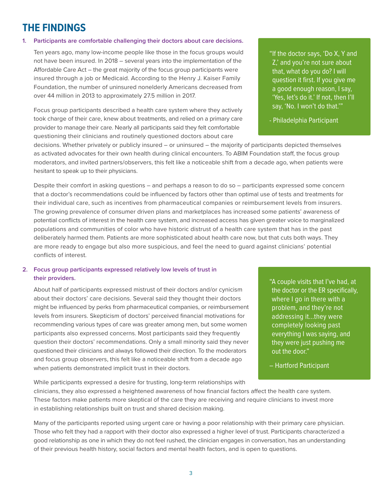# **THE FINDINGS**

#### **1. Participants are comfortable challenging their doctors about care decisions.**

Ten years ago, many low-income people like those in the focus groups would not have been insured. In 2018 – several years into the implementation of the Affordable Care Act – the great majority of the focus group participants were insured through a job or Medicaid. According to the Henry J. Kaiser Family Foundation, the number of uninsured nonelderly Americans decreased from over 44 million in 2013 to approximately 27.5 million in 2017.

Focus group participants described a health care system where they actively took charge of their care, knew about treatments, and relied on a primary care provider to manage their care. Nearly all participants said they felt comfortable questioning their clinicians and routinely questioned doctors about care

"If the doctor says, 'Do X, Y and Z,' and you're not sure about that, what do you do? I will question it first. If you give me a good enough reason, I say, 'Yes, let's do it.' If not, then I'll say, 'No. I won't do that.'"

- Philadelphia Participant

decisions. Whether privately or publicly insured – or uninsured – the majority of participants depicted themselves as activated advocates for their own health during clinical encounters. To ABIM Foundation staff, the focus group moderators, and invited partners/observers, this felt like a noticeable shift from a decade ago, when patients were hesitant to speak up to their physicians.

Despite their comfort in asking questions – and perhaps a reason to do so – participants expressed some concern that a doctor's recommendations could be influenced by factors other than optimal use of tests and treatments for their individual care, such as incentives from pharmaceutical companies or reimbursement levels from insurers. The growing prevalence of consumer driven plans and marketplaces has increased some patients' awareness of potential conflicts of interest in the health care system, and increased access has given greater voice to marginalized populations and communities of color who have historic distrust of a health care system that has in the past deliberately harmed them. Patients are more sophisticated about health care now, but that cuts both ways. They are more ready to engage but also more suspicious, and feel the need to guard against clinicians' potential conflicts of interest.

### **2. Focus group participants expressed relatively low levels of trust in their providers.**

About half of participants expressed mistrust of their doctors and/or cynicism about their doctors' care decisions. Several said they thought their doctors might be influenced by perks from pharmaceutical companies, or reimbursement levels from insurers. Skepticism of doctors' perceived financial motivations for recommending various types of care was greater among men, but some women participants also expressed concerns. Most participants said they frequently question their doctors' recommendations. Only a small minority said they never questioned their clinicians and always followed their direction. To the moderators and focus group observers, this felt like a noticeable shift from a decade ago when patients demonstrated implicit trust in their doctors.

"A couple visits that I've had, at the doctor or the ER specifically, where I go in there with a problem, and they're not addressing it…they were completely looking past everything I was saying, and they were just pushing me out the door."

– Hartford Participant

While participants expressed a desire for trusting, long-term relationships with clinicians, they also expressed a heightened awareness of how financial factors affect the health care system. These factors make patients more skeptical of the care they are receiving and require clinicians to invest more in establishing relationships built on trust and shared decision making.

Many of the participants reported using urgent care or having a poor relationship with their primary care physician. Those who felt they had a rapport with their doctor also expressed a higher level of trust. Participants characterized a good relationship as one in which they do not feel rushed, the clinician engages in conversation, has an understanding of their previous health history, social factors and mental health factors, and is open to questions.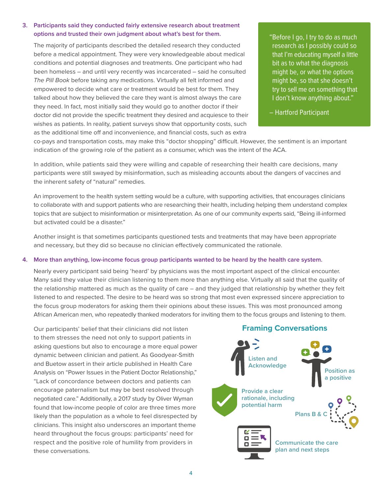#### **3. Participants said they conducted fairly extensive research about treatment options and trusted their own judgment about what's best for them.**

The majority of participants described the detailed research they conducted before a medical appointment. They were very knowledgeable about medical conditions and potential diagnoses and treatments. One participant who had been homeless – and until very recently was incarcerated – said he consulted *The Pill Book* before taking any medications. Virtually all felt informed and empowered to decide what care or treatment would be best for them. They talked about how they believed the care they want is almost always the care they need. In fact, most initially said they would go to another doctor if their doctor did not provide the specific treatment they desired and acquiesce to their wishes as patients. In reality, patient surveys show that opportunity costs, such as the additional time off and inconvenience, and financial costs, such as extra

"Before I go, I try to do as much research as I possibly could so that I'm educating myself a little bit as to what the diagnosis might be, or what the options might be, so that she doesn't try to sell me on something that I don't know anything about."

– Hartford Participant

co-pays and transportation costs, may make this "doctor shopping" difficult. However, the sentiment is an important indication of the growing role of the patient as a consumer, which was the intent of the ACA.

In addition, while patients said they were willing and capable of researching their health care decisions, many participants were still swayed by misinformation, such as misleading accounts about the dangers of vaccines and the inherent safety of "natural" remedies.

An improvement to the health system setting would be a culture, with supporting activities, that encourages clinicians to collaborate with and support patients who are researching their health, including helping them understand complex topics that are subject to misinformation or misinterpretation. As one of our community experts said, "Being ill-informed but activated could be a disaster."

Another insight is that sometimes participants questioned tests and treatments that may have been appropriate and necessary, but they did so because no clinician effectively communicated the rationale.

#### **4. More than anything, low-income focus group participants wanted to be heard by the health care system.**

Nearly every participant said being 'heard' by physicians was the most important aspect of the clinical encounter. Many said they value their clinician listening to them more than anything else. Virtually all said that the quality of the relationship mattered as much as the quality of care – and they judged that relationship by whether they felt listened to and respected. The desire to be heard was so strong that most even expressed sincere appreciation to the focus group moderators for asking them their opinions about these issues. This was most pronounced among African American men, who repeatedly thanked moderators for inviting them to the focus groups and listening to them.

Our participants' belief that their clinicians did not listen to them stresses the need not only to support patients in asking questions but also to encourage a more equal power dynamic between clinician and patient. As Goodyear-Smith and Buetow assert in their article published in Health Care Analysis on "Power Issues in the Patient Doctor Relationship," "Lack of concordance between doctors and patients can encourage paternalism but may be best resolved through negotiated care." Additionally, a 2017 study by Oliver Wyman found that low-income people of color are three times more likely than the population as a whole to feel disrespected by clinicians. This insight also underscores an important theme heard throughout the focus groups: participants' need for respect and the positive role of humility from providers in these conversations.

### **Framing Conversations Listen and Acknowledge Communicate the care plan and next steps Position as a positive Provide a clear rationale, including potential harm Plans B & C**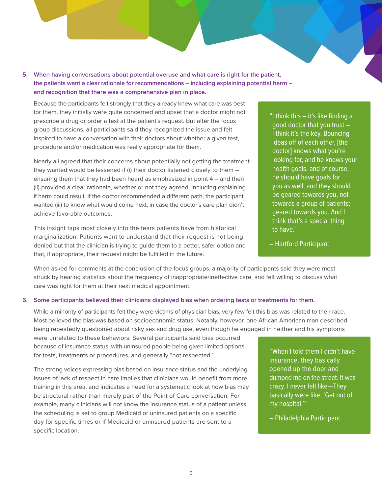**5. When having conversations about potential overuse and what care is right for the patient, the patients want a clear rationale for recommendations – including explaining potential harm – and recognition that there was a comprehensive plan in place.**

Because the participants felt strongly that they already knew what care was best for them, they initially were quite concerned and upset that a doctor might not prescribe a drug or order a test at the patient's request. But after the focus group discussions, all participants said they recognized the issue and felt inspired to have a conversation with their doctors about whether a given test, procedure and/or medication was really appropriate for them.

Nearly all agreed that their concerns about potentially not getting the treatment they wanted would be lessened if (i) their doctor listened closely to them – ensuring them that they had been heard as emphasized in point 4 – and then (ii) provided a clear rationale, whether or not they agreed, including explaining if harm could result. If the doctor recommended a different path, the participant wanted (iii) to know what would come next, in case the doctor's care plan didn't achieve favorable outcomes.

This insight taps most closely into the fears patients have from historical marginalization. Patients want to understand that their request is not being denied but that the clinician is trying to guide them to a better, safer option and that, if appropriate, their request might be fulfilled in the future.

"I think this – it's like finding a good doctor that you trust – I think it's the key. Bouncing ideas off of each other, [the doctor] knows what you're looking for, and he knows your health goals, and of course, he should have goals for you as well, and they should be geared towards you, not towards a group of patients; geared towards you. And I think that's a special thing to have."

When asked for comments at the conclusion of the focus groups, a majority of participants said they were most struck by hearing statistics about the frequency of inappropriate/ineffective care, and felt willing to discuss what care was right for them at their next medical appointment.

#### **6. Some participants believed their clinicians displayed bias when ordering tests or treatments for them.**

While a minority of participants felt they were victims of physician bias, very few felt this bias was related to their race. Most believed the bias was based on socioeconomic status. Notably, however, one African American man described being repeatedly questioned about risky sex and drug use, even though he engaged in neither and his symptoms

were unrelated to these behaviors. Several participants said bias occurred because of insurance status, with uninsured people being given limited options for tests, treatments or procedures, and generally "not respected."

The strong voices expressing bias based on insurance status and the underlying issues of lack of respect in care implies that clinicians would benefit from more training in this area, and indicates a need for a systematic look at how bias may be structural rather than merely part of the Point of Care conversation. For example, many clinicians will not know the insurance status of a patient unless the scheduling is set to group Medicaid or uninsured patients on a specific day for specific times or if Medicaid or uninsured patients are sent to a specific location.

"When I told them I didn't have insurance, they basically opened up the door and dumped me on the street. It was crazy. I never felt like—They basically were like, 'Get out of my hospital.'"

– Philadelphia Participant

<sup>–</sup> Hartford Participant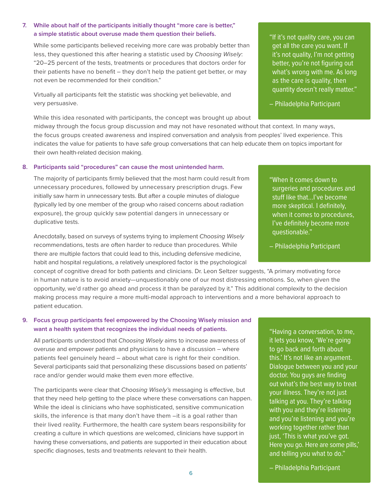#### **7. While about half of the participants initially thought "more care is better," a simple statistic about overuse made them question their beliefs.**

While some participants believed receiving more care was probably better than less, they questioned this after hearing a statistic used by *Choosing Wisely*: "20–25 percent of the tests, treatments or procedures that doctors order for their patients have no benefit – they don't help the patient get better, or may not even be recommended for their condition."

Virtually all participants felt the statistic was shocking yet believable, and very persuasive.

While this idea resonated with participants, the concept was brought up about

midway through the focus group discussion and may not have resonated without that context. In many ways, the focus groups created awareness and inspired conversation and analysis from peoples' lived experience. This indicates the value for patients to have safe group conversations that can help educate them on topics important for their own health-related decision making.

#### **8. Participants said "procedures" can cause the most unintended harm.**

The majority of participants firmly believed that the most harm could result from unnecessary procedures, followed by unnecessary prescription drugs. Few initially saw harm in unnecessary tests. But after a couple minutes of dialogue (typically led by one member of the group who raised concerns about radiation exposure), the group quickly saw potential dangers in unnecessary or duplicative tests.

Anecdotally, based on surveys of systems trying to implement *Choosing Wisely* recommendations, tests are often harder to reduce than procedures. While there are multiple factors that could lead to this, including defensive medicine, habit and hospital regulations, a relatively unexplored factor is the psychological

concept of cognitive dread for both patients and clinicians. Dr. Leon Seltzer suggests, "A primary motivating force in human nature is to avoid anxiety—unquestionably one of our most distressing emotions. So, when given the opportunity, we'd rather go ahead and process it than be paralyzed by it." This additional complexity to the decision making process may require a more multi-modal approach to interventions and a more behavioral approach to patient education.

### **9. Focus group participants feel empowered by the Choosing Wisely mission and want a health system that recognizes the individual needs of patients.**

All participants understood that *Choosing Wisely* aims to increase awareness of overuse and empower patients and physicians to have a discussion – where patients feel genuinely heard – about what care is right for their condition. Several participants said that personalizing these discussions based on patients' race and/or gender would make them even more effective.

The participants were clear that *Choosing Wisely's* messaging is effective, but that they need help getting to the place where these conversations can happen. While the ideal is clinicians who have sophisticated, sensitive communication skills, the inference is that many don't have them  $-it$  is a goal rather than their lived reality. Furthermore, the health care system bears responsibility for creating a culture in which questions are welcomed, clinicians have support in having these conversations, and patients are supported in their education about specific diagnoses, tests and treatments relevant to their health.

"If it's not quality care, you can get all the care you want. If it's not quality, I'm not getting better, you're not figuring out what's wrong with me. As long as the care is quality, then quantity doesn't really matter."

– Philadelphia Participant

"When it comes down to surgeries and procedures and stuff like that…I've become more skeptical. I definitely, when it comes to procedures, I've definitely become more questionable."

– Philadelphia Participant

"Having a conversation, to me, it lets you know, 'We're going to go back and forth about this.' It's not like an argument. Dialogue between you and your doctor. You guys are finding out what's the best way to treat your illness. They're not just talking at you. They're talking with you and they're listening and you're listening and you're working together rather than just, 'This is what you've got. Here you go. Here are some pills,' and telling you what to do."

– Philadelphia Participant